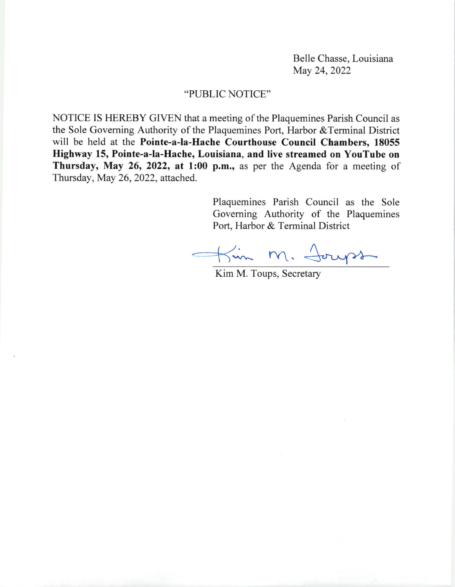Belle Chasse, Louisiana May 24, 2022

## "PUBLIC NOTICE"

NOTICE IS HEREBY GIVEN that a meeting of the Plaquemines Parish Council as the Sole Goveming Authority of the Plaquemines Port, Harbor &Terminal District will be held at the Pointe-a-la-Hache Courthouse Council Chambers, <sup>18055</sup> Highway 15, Pointe-a-la-Hache, Louisiana, and live streamed on YouTube on Thursday, May 26, 2022, at 1:00 p.m., as per the Agenda for a meeting of Thursday, May 26,2022, attached.

> Plaquemines Parish Council as the Sole Governing Authority of the Plaquemines Port, Harbor & Terminal District

Kin M. Joups

Kim M. Toups, Secretary